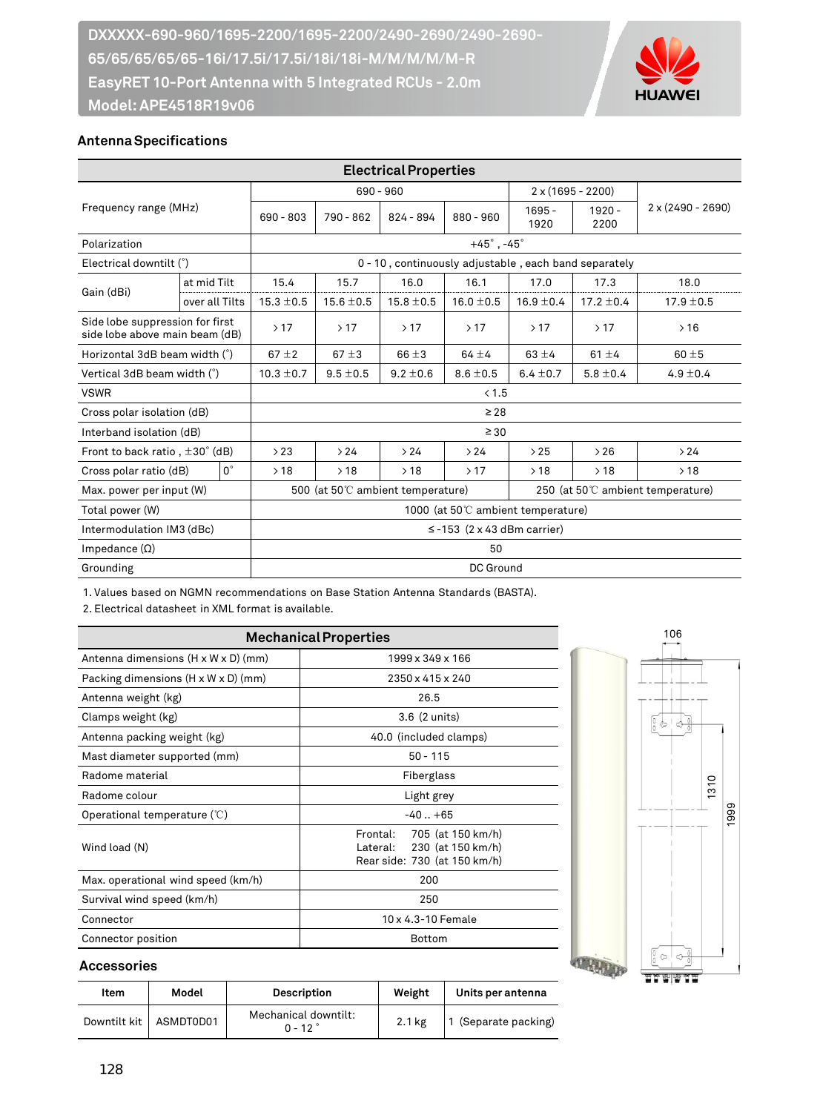

## **Antenna Specifications**

| <b>Electrical Properties</b>                                      |                  |                                                                        |                                                       |                |                |                  |                          |                          |  |  |
|-------------------------------------------------------------------|------------------|------------------------------------------------------------------------|-------------------------------------------------------|----------------|----------------|------------------|--------------------------|--------------------------|--|--|
| Frequency range (MHz)                                             |                  |                                                                        | $690 - 960$                                           |                |                |                  | $2 \times (1695 - 2200)$ |                          |  |  |
|                                                                   |                  | $690 - 803$                                                            | 790 - 862                                             | $824 - 894$    | $880 - 960$    | $1695 -$<br>1920 | $1920 -$<br>2200         | $2 \times (2490 - 2690)$ |  |  |
| Polarization                                                      |                  |                                                                        | $+45^\circ$ , $-45^\circ$                             |                |                |                  |                          |                          |  |  |
| Electrical downtilt (°)                                           |                  |                                                                        | 0 - 10, continuously adjustable, each band separately |                |                |                  |                          |                          |  |  |
| Gain (dBi)                                                        | at mid Tilt      | 15.4                                                                   | 15.7                                                  | 16.0           | 16.1           | 17.0             | 17.3                     | 18.0                     |  |  |
|                                                                   | over all Tilts   | $15.3 \pm 0.5$                                                         | $15.6 \pm 0.5$                                        | $15.8 \pm 0.5$ | $16.0 \pm 0.5$ | $16.9 \pm 0.4$   | $17.2 \pm 0.4$           | $17.9 \pm 0.5$           |  |  |
| Side lobe suppression for first<br>side lobe above main beam (dB) |                  | >17                                                                    | >17                                                   | >17            | >17            | >17              | >17                      | >16                      |  |  |
| Horizontal 3dB beam width (°)                                     |                  | $67 \pm 2$                                                             | $67 \pm 3$                                            | $66 \pm 3$     | $64 + 4$       | $63 + 4$         | $61 \pm 4$               | $60 + 5$                 |  |  |
| Vertical 3dB beam width (°)                                       |                  | $10.3 \pm 0.7$                                                         | $9.5 \pm 0.5$                                         | $9.2 \pm 0.6$  | $8.6 \pm 0.5$  | $6.4 \pm 0.7$    | $5.8 \pm 0.4$            | $4.9 \pm 0.4$            |  |  |
| <b>VSWR</b>                                                       |                  | < 1.5                                                                  |                                                       |                |                |                  |                          |                          |  |  |
| Cross polar isolation (dB)                                        |                  | $\geq 28$                                                              |                                                       |                |                |                  |                          |                          |  |  |
| Interband isolation (dB)                                          |                  | $\geq 30$                                                              |                                                       |                |                |                  |                          |                          |  |  |
| Front to back ratio, $\pm 30^{\circ}$ (dB)                        |                  | >23                                                                    | >24                                                   | >24            | >24            | >25              | >26                      | >24                      |  |  |
| Cross polar ratio (dB)                                            | $\Omega^{\circ}$ | >18                                                                    | >18                                                   | >18            | >17            | >18              | >18                      | >18                      |  |  |
| Max. power per input (W)                                          |                  | 500 (at 50°C ambient temperature)<br>250 (at 50°C ambient temperature) |                                                       |                |                |                  |                          |                          |  |  |
| Total power (W)                                                   |                  | 1000 (at 50°C ambient temperature)                                     |                                                       |                |                |                  |                          |                          |  |  |
| Intermodulation IM3 (dBc)                                         |                  | $\le$ -153 (2 x 43 dBm carrier)                                        |                                                       |                |                |                  |                          |                          |  |  |
| Impedance $(\Omega)$                                              |                  |                                                                        | 50                                                    |                |                |                  |                          |                          |  |  |
| Grounding                                                         |                  |                                                                        | DC Ground                                             |                |                |                  |                          |                          |  |  |

1. Values based on NGMN recommendations on Base Station Antenna Standards (BASTA).

2. Electrical datasheet in XML format is available.

| <b>Mechanical Properties</b>            |                                                                                          |  |  |  |  |  |
|-----------------------------------------|------------------------------------------------------------------------------------------|--|--|--|--|--|
| Antenna dimensions (H x W x D) (mm)     | 1999 x 349 x 166                                                                         |  |  |  |  |  |
| Packing dimensions (H x W x D) (mm)     | 2350 x 415 x 240                                                                         |  |  |  |  |  |
| Antenna weight (kg)                     | 26.5                                                                                     |  |  |  |  |  |
| Clamps weight (kg)                      | 3.6 (2 units)                                                                            |  |  |  |  |  |
| Antenna packing weight (kg)             | 40.0 (included clamps)                                                                   |  |  |  |  |  |
| Mast diameter supported (mm)            | $50 - 115$                                                                               |  |  |  |  |  |
| Radome material                         | Fiberglass                                                                               |  |  |  |  |  |
| Radome colour                           | Light grey                                                                               |  |  |  |  |  |
| Operational temperature $(\mathcal{C})$ | $-40+65$                                                                                 |  |  |  |  |  |
| Wind load (N)                           | Frontal: 705 (at 150 km/h)<br>Lateral: 230 (at 150 km/h)<br>Rear side: 730 (at 150 km/h) |  |  |  |  |  |
| Max. operational wind speed (km/h)      | 200                                                                                      |  |  |  |  |  |
| Survival wind speed (km/h)              | 250                                                                                      |  |  |  |  |  |
| Connector                               | 10 x 4.3-10 Female                                                                       |  |  |  |  |  |
| Connector position                      | <b>Bottom</b>                                                                            |  |  |  |  |  |



#### **Accessories**

| Item         | Model     | <b>Description</b>                | Weight | Units per antenna  |  |
|--------------|-----------|-----------------------------------|--------|--------------------|--|
| Downtilt kit | ASMDT0D01 | Mechanical downtilt:<br>$0 - 12°$ | 2.1 kg | (Separate packing) |  |